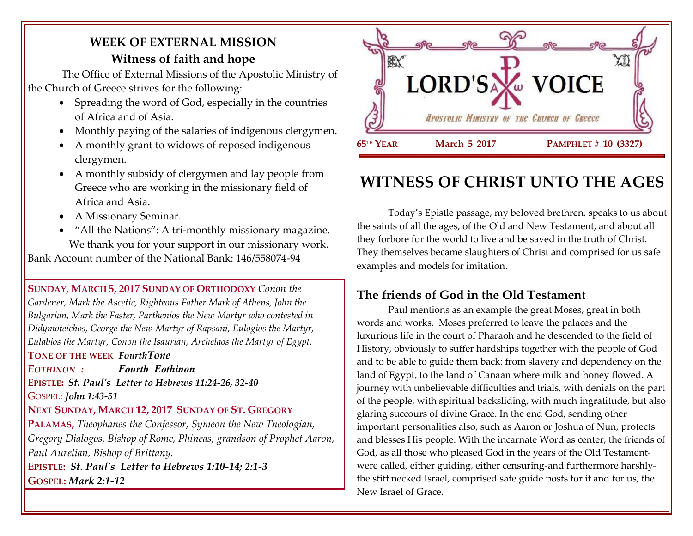# **WEEK OF EXTERNAL MISSION Witness of faith and hope**

The Office of External Missions of the Apostolic Ministry of the Church of Greece strives for the following:

- Spreading the word of God, especially in the countries of Africa and of Asia.
- Monthly paying of the salaries of indigenous clergymen.
- A monthly grant to widows of reposed indigenous clergymen.
- A monthly subsidy of clergymen and lay people from Greece who are working in the missionary field of Africa and Asia.
- A Missionary Seminar.
- "All the Nations": A tri-monthly missionary magazine. We thank you for your support in our missionary work. Bank Account number of the National Bank: 146/558074-94

**SUNDAY, MARCH 5, 2017 SUNDAY OF ORTHODOXY** *Conon the Gardener, Mark the Ascetic, Righteous Father Mark of Athens, John the Bulgarian, Mark the Faster, Parthenios the New Martyr who contested in Didymoteichos, George the New-Martyr of Rapsani, Eulogios the Martyr, Eulabios the Martyr, Conon the Isaurian, Archelaos the Martyr of Egypt.*

#### **TONE OF THE WEEK** *FourthTone*

*EOTHINON : Fourth Eothinon*

**EPISTLE:** *St. Paul's Letter to Hebrews 11:24-26, 32-40* GOSPEL: *John 1:43-51*

#### **NEXT SUNDAY, MARCH 12, 2017 SUNDAY OF ST. GREGORY**

**PALAMAS,** *Theophanes the Confessor, Symeon the New Theologian, Gregory Dialogos, Bishop of Rome, Phineas, grandson of Prophet Aaron, Paul Aurelian, Bishop of Brittany.* **EPISTLE:** *St. Paul's Letter to Hebrews 1:10-14; 2:1-3* **GOSPEL:** *Mark 2:1-12*



# **WITNESS OF CHRIST UNTO THE AGES**

Today's Epistle passage, my beloved brethren, speaks to us about the saints of all the ages, of the Old and New Testament, and about all they forbore for the world to live and be saved in the truth of Christ. They themselves became slaughters of Christ and comprised for us safe examples and models for imitation.

## **The friends of God in the Old Testament**

Paul mentions as an example the great Moses, great in both words and works. Moses preferred to leave the palaces and the luxurious life in the court of Pharaoh and he descended to the field of History, obviously to suffer hardships together with the people of God and to be able to guide them back: from slavery and dependency on the land of Egypt, to the land of Canaan where milk and honey flowed. A journey with unbelievable difficulties and trials, with denials on the part of the people, with spiritual backsliding, with much ingratitude, but also glaring succours of divine Grace. In the end God, sending other important personalities also, such as Αarοn or Joshua of Nun, protects and blesses His people. With the incarnate Word as center, the friends of God, as all those who pleased God in the years of the Old Testamentwere called, either guiding, either censuring-and furthermore harshlythe stiff necked Israel, comprised safe guide posts for it and for us, the New Israel of Grace.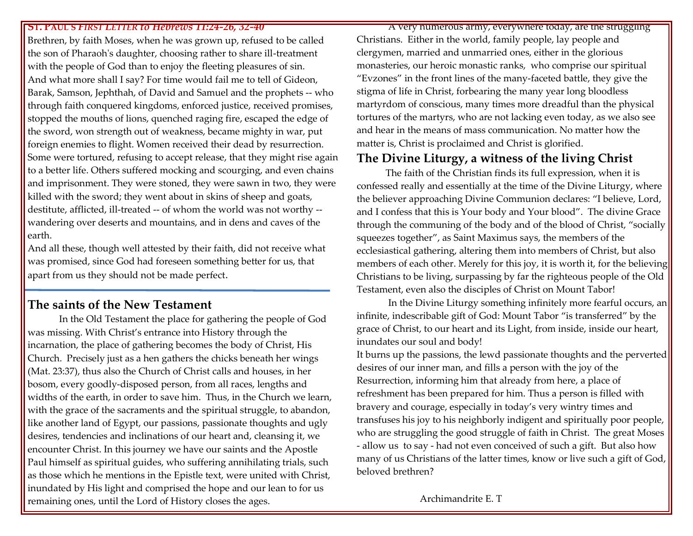#### **ST. PAUL'S** *FIRST LETTER to Hebrews 11:24-26, 32-40*

Brethren, by faith Moses, when he was grown up, refused to be called the son of Pharaoh's daughter, choosing rather to share ill-treatment with the people of God than to enjoy the fleeting pleasures of sin. And what more shall I say? For time would fail me to tell of Gideon, Barak, Samson, Jephthah, of David and Samuel and the prophets -- who through faith conquered kingdoms, enforced justice, received promises, stopped the mouths of lions, quenched raging fire, escaped the edge of the sword, won strength out of weakness, became mighty in war, put foreign enemies to flight. Women received their dead by resurrection. Some were tortured, refusing to accept release, that they might rise again to a better life. Others suffered mocking and scourging, and even chains and imprisonment. They were stoned, they were sawn in two, they were killed with the sword; they went about in skins of sheep and goats, destitute, afflicted, ill-treated -- of whom the world was not worthy - wandering over deserts and mountains, and in dens and caves of the earth.

And all these, though well attested by their faith, did not receive what was promised, since God had foreseen something better for us, that apart from us they should not be made perfect.

#### **The saints of the New Testament**

In the Old Testament the place for gathering the people of God was missing. With Christ's entrance into History through the incarnation, the place of gathering becomes the body of Christ, His Church. Precisely just as a hen gathers the chicks beneath her wings (Mat. 23:37), thus also the Church of Christ calls and houses, in her bosom, every goodly-disposed person, from all races, lengths and widths of the earth, in order to save him. Thus, in the Church we learn, with the grace of the sacraments and the spiritual struggle, to abandon, like another land of Egypt, our passions, passionate thoughts and ugly desires, tendencies and inclinations of our heart and, cleansing it, we encounter Christ. In this journey we have our saints and the Apostle Paul himself as spiritual guides, who suffering annihilating trials, such as those which he mentions in the Epistle text, were united with Christ, inundated by His light and comprised the hope and our lean to for us remaining ones, until the Lord of History closes the ages.

A very numerous army, everywhere today, are the struggling Christians. Either in the world, family people, lay people and clergymen, married and unmarried ones, either in the glorious monasteries, our heroic monastic ranks, who comprise our spiritual "Evzones" in the front lines of the many-faceted battle, they give the stigma of life in Christ, forbearing the many year long bloodless martyrdom of conscious, many times more dreadful than the physical tortures of the martyrs, who are not lacking even today, as we also see and hear in the means of mass communication. No matter how the matter is, Christ is proclaimed and Christ is glorified.

### **The Divine Liturgy, a witness of the living Christ**

 The faith of the Christian finds its full expression, when it is confessed really and essentially at the time of the Divine Liturgy, where the believer approaching Divine Communion declares: "I believe, Lord, and I confess that this is Your body and Your blood". The divine Grace through the communing of the body and of the blood of Christ, "socially squeezes together", as Saint Maximus says, the members of the ecclesiastical gathering, altering them into members of Christ, but also members of each other. Merely for this joy, it is worth it, for the believing Christians to be living, surpassing by far the righteous people of the Old Testament, even also the disciples of Christ on Mount Tabor!

In the Divine Liturgy something infinitely more fearful occurs, an infinite, indescribable gift of God: Mount Tabor "is transferred" by the grace of Christ, to our heart and its Light, from inside, inside our heart, inundates our soul and body!

It burns up the passions, the lewd passionate thoughts and the perverted desires of our inner man, and fills a person with the joy of the Resurrection, informing him that already from here, a place of refreshment has been prepared for him. Thus a person is filled with bravery and courage, especially in today's very wintry times and transfuses his joy to his neighborly indigent and spiritually poor people, who are struggling the good struggle of faith in Christ. The great Moses - allow us to say - had not even conceived of such a gift. But also how many of us Christians of the latter times, know or live such a gift of God, beloved brethren?

Archimandrite E. T